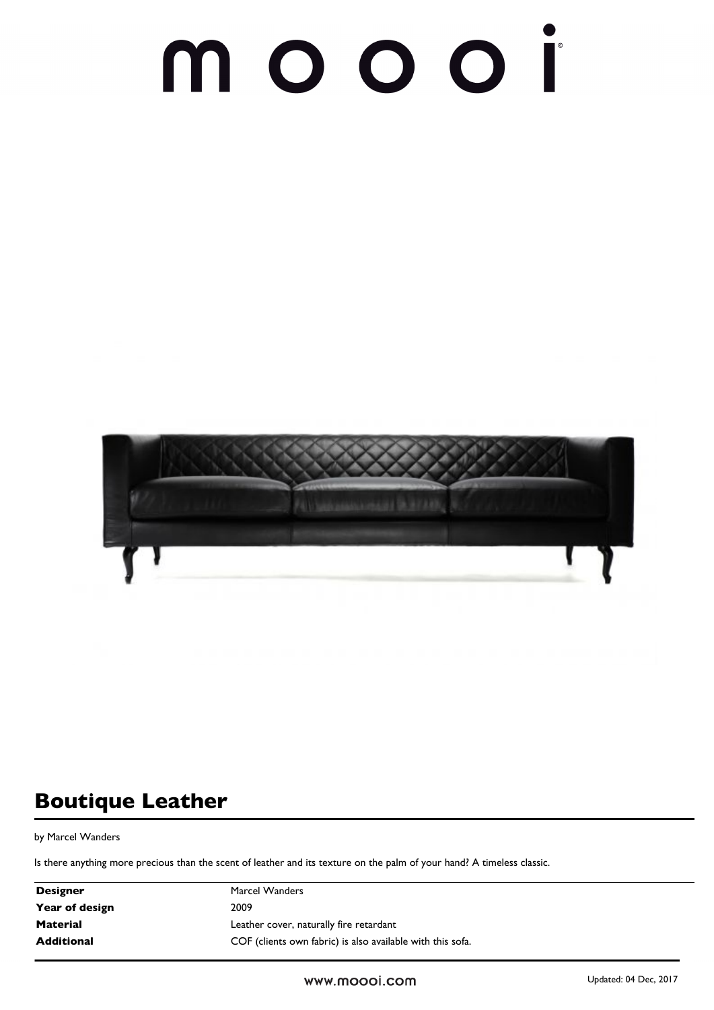### $\Box$



### **Boutique Leather**

by Marcel Wanders

Is there anything more precious than the scent of leather and its texture on the palm of your hand? A timeless classic.

| <b>Designer</b>   | Marcel Wanders                                             |  |
|-------------------|------------------------------------------------------------|--|
| Year of design    | 2009                                                       |  |
| <b>Material</b>   | Leather cover, naturally fire retardant                    |  |
| <b>Additional</b> | COF (clients own fabric) is also available with this sofa. |  |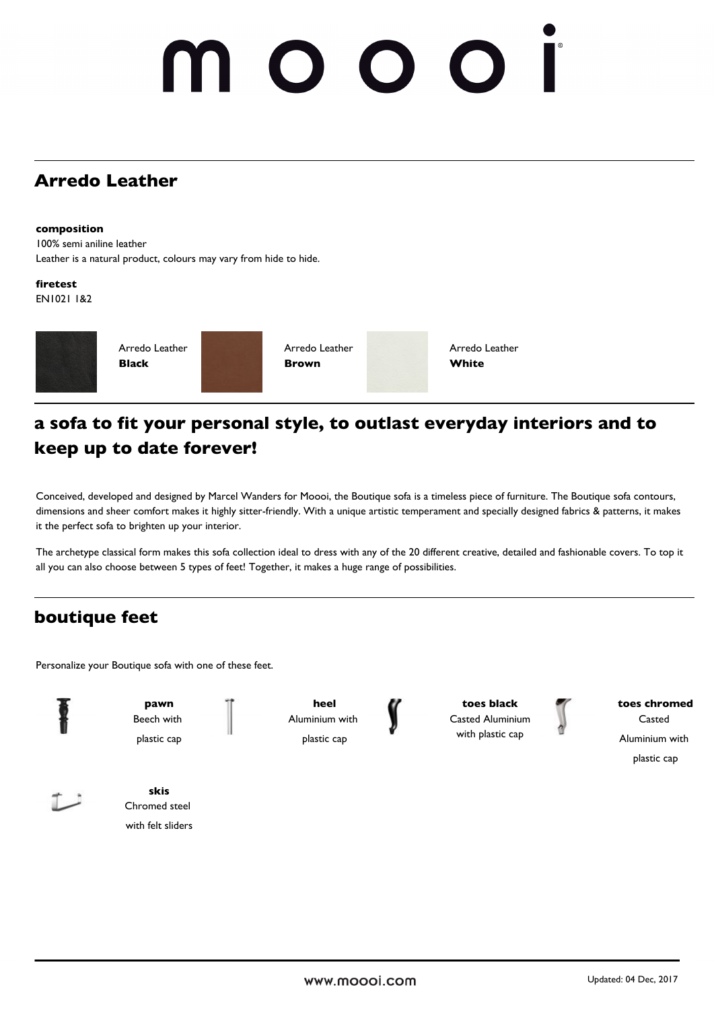# $\bigcirc$

### **Arredo Leather**

### **composition**

100% semi aniline leather Leather is a natural product, colours may vary from hide to hide.

**firetest**

EN1021 1&2



### **a sofa to fit your personal style, to outlast everyday interiors and to keep up to date forever!**

Conceived, developed and designed by Marcel Wanders for Moooi, the Boutique sofa is a timeless piece of furniture. The Boutique sofa contours, dimensions and sheer comfort makes it highly sitter-friendly. With a unique artistic temperament and specially designed fabrics & patterns, it makes it the perfect sofa to brighten up your interior.

The archetype classical form makes this sofa collection ideal to dress with any of the 20 different creative, detailed and fashionable covers. To top it all you can also choose between 5 types of feet! Together, it makes a huge range of possibilities.

### **boutique feet**

Personalize your Boutique sofa with one of these feet.

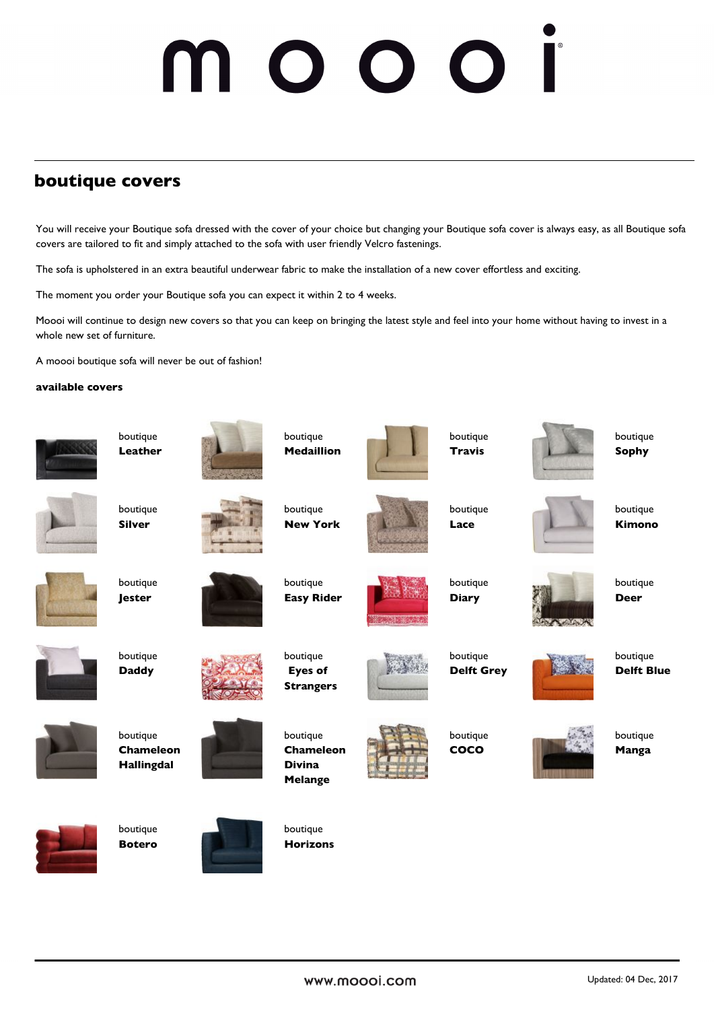### **boutique covers**

You will receive your Boutique sofa dressed with the cover of your choice but changing your Boutique sofa cover is always easy, as all Boutique sofa covers are tailored to fit and simply attached to the sofa with user friendly Velcro fastenings.

The sofa is upholstered in an extra beautiful underwear fabric to make the installation of a new cover effortless and exciting.

The moment you order your Boutique sofa you can expect it within 2 to 4 weeks.

Moooi will continue to design new covers so that you can keep on bringing the latest style and feel into your home without having to invest in a whole new set of furniture.

A moooi boutique sofa will never be out of fashion!

### **available covers**

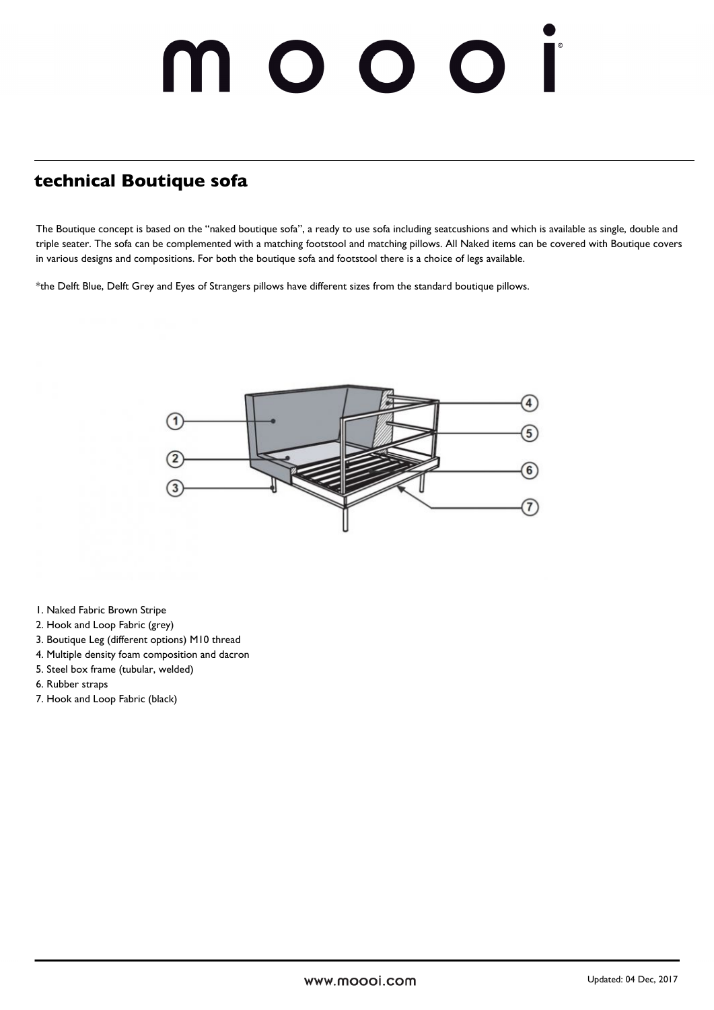## 000

### **technical Boutique sofa**

The Boutique concept is based on the "naked boutique sofa", a ready to use sofa including seatcushions and which is available as single, double and triple seater. The sofa can be complemented with a matching footstool and matching pillows. All Naked items can be covered with Boutique covers in various designs and compositions. For both the boutique sofa and footstool there is a choice of legs available.

\*the Delft Blue, Delft Grey and Eyes of Strangers pillows have different sizes from the standard boutique pillows.



- 1. Naked Fabric Brown Stripe
- 2. Hook and Loop Fabric (grey)
- 3. Boutique Leg (different options) M10 thread
- 4. Multiple density foam composition and dacron
- 5. Steel box frame (tubular, welded)
- 6. Rubber straps
- 7. Hook and Loop Fabric (black)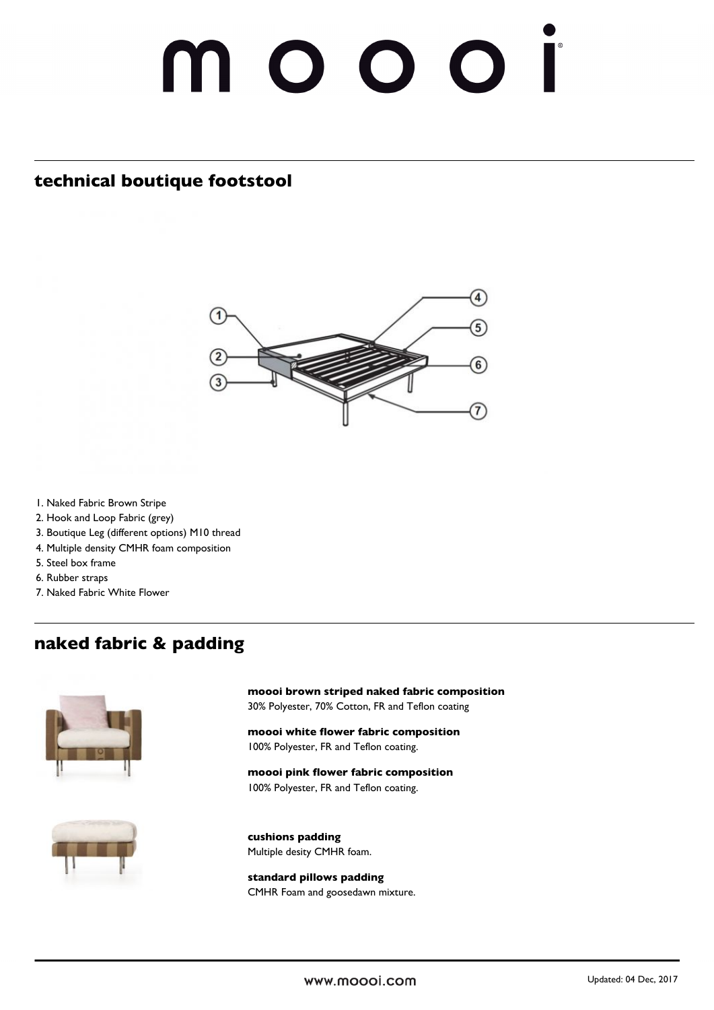### 10001

### **technical boutique footstool**



- 1. Naked Fabric Brown Stripe
- 2. Hook and Loop Fabric (grey)
- 3. Boutique Leg (different options) M10 thread
- 4. Multiple density CMHR foam composition
- 5. Steel box frame
- 6. Rubber straps
- 7. Naked Fabric White Flower

### **naked fabric & padding**



**moooi brown striped naked fabric composition** 30% Polyester, 70% Cotton, FR and Teflon coating

**moooi white flower fabric composition** 100% Polyester, FR and Teflon coating.

**moooi pink flower fabric composition** 100% Polyester, FR and Teflon coating.



**cushions padding** Multiple desity CMHR foam.

**standard pillows padding** CMHR Foam and goosedawn mixture.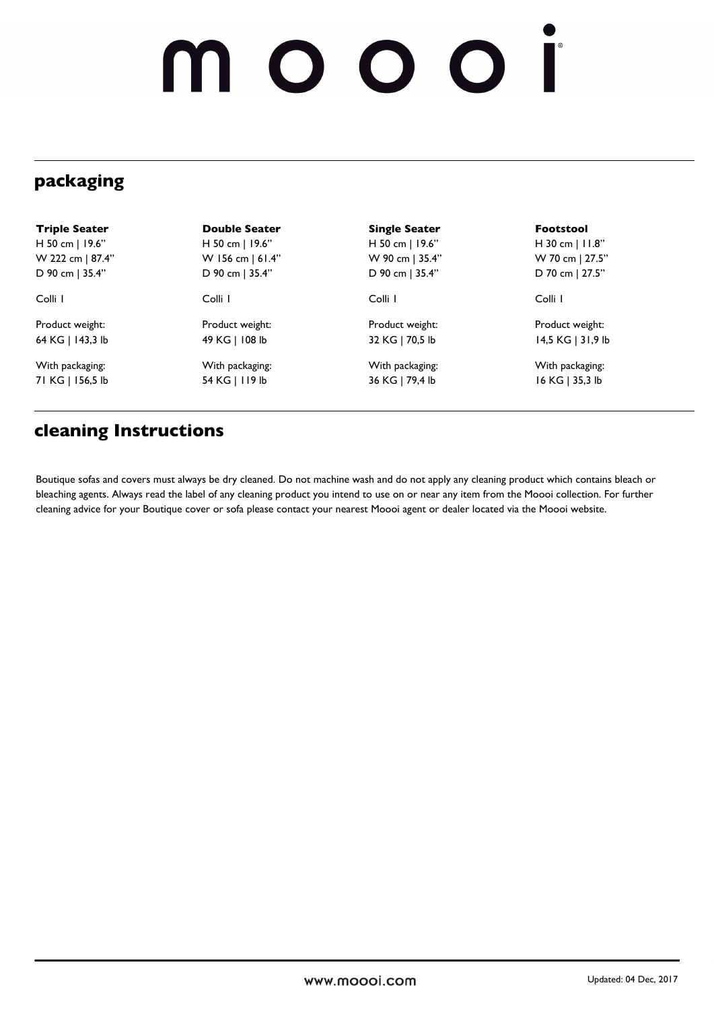# noooi

### **packaging**

| <b>Triple Seater</b> | <b>Double Seater</b> | <b>Single Seater</b> | <b>Footstool</b>  |
|----------------------|----------------------|----------------------|-------------------|
| H 50 cm   19.6"      | H 50 cm $ $ 19.6"    | H 50 cm   19.6"      | H 30 cm $ $ 11.8" |
| W 222 cm   87.4"     | W 156 cm   61.4"     | W 90 cm   35.4"      | W 70 cm   27.5"   |
| D 90 cm   35.4"      | D 90 cm   35.4"      | D 90 cm   35.4"      | D 70 cm   27.5"   |
| Colli I              | Colli I              | Colli I              | Colli I           |
| Product weight:      | Product weight:      | Product weight:      | Product weight:   |
| 64 KG   143,3 lb     | 49 KG   108 lb       | 32 KG   70,5 lb      | 14,5 KG   31,9 lb |
| With packaging:      | With packaging:      | With packaging:      | With packaging:   |
| 71 KG   156,5 lb     | 54 KG   119 lb       | 36 KG   79,4 lb      | 16 KG   35,3 lb   |

### **cleaning Instructions**

Boutique sofas and covers must always be dry cleaned. Do not machine wash and do not apply any cleaning product which contains bleach or bleaching agents. Always read the label of any cleaning product you intend to use on or near any item from the Moooi collection. For further cleaning advice for your Boutique cover or sofa please contact your nearest Moooi agent or dealer located via the Moooi website.